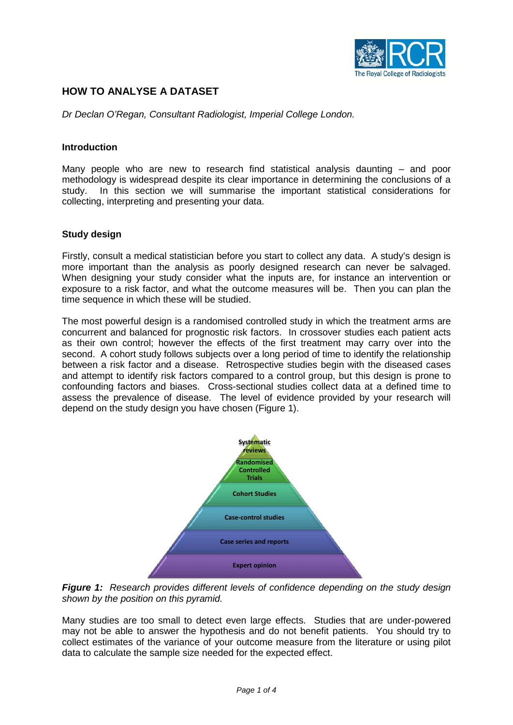

# **HOW TO ANALYSE A DATASET**

*Dr Declan O'Regan, Consultant Radiologist, Imperial College London.*

### **Introduction**

Many people who are new to research find statistical analysis daunting – and poor methodology is widespread despite its clear importance in determining the conclusions of a study. In this section we will summarise the important statistical considerations for collecting, interpreting and presenting your data.

### **Study design**

Firstly, consult a medical statistician before you start to collect any data. A study's design is more important than the analysis as poorly designed research can never be salvaged. When designing your study consider what the inputs are, for instance an intervention or exposure to a risk factor, and what the outcome measures will be. Then you can plan the time sequence in which these will be studied.

The most powerful design is a randomised controlled study in which the treatment arms are concurrent and balanced for prognostic risk factors. In crossover studies each patient acts as their own control; however the effects of the first treatment may carry over into the second. A cohort study follows subjects over a long period of time to identify the relationship between a risk factor and a disease. Retrospective studies begin with the diseased cases and attempt to identify risk factors compared to a control group, but this design is prone to confounding factors and biases. Cross-sectional studies collect data at a defined time to assess the prevalence of disease. The level of evidence provided by your research will depend on the study design you have chosen (Figure 1).



*Figure 1: Research provides different levels of confidence depending on the study design shown by the position on this pyramid.* 

Many studies are too small to detect even large effects. Studies that are under-powered may not be able to answer the hypothesis and do not benefit patients. You should try to collect estimates of the variance of your outcome measure from the literature or using pilot data to calculate the sample size needed for the expected effect.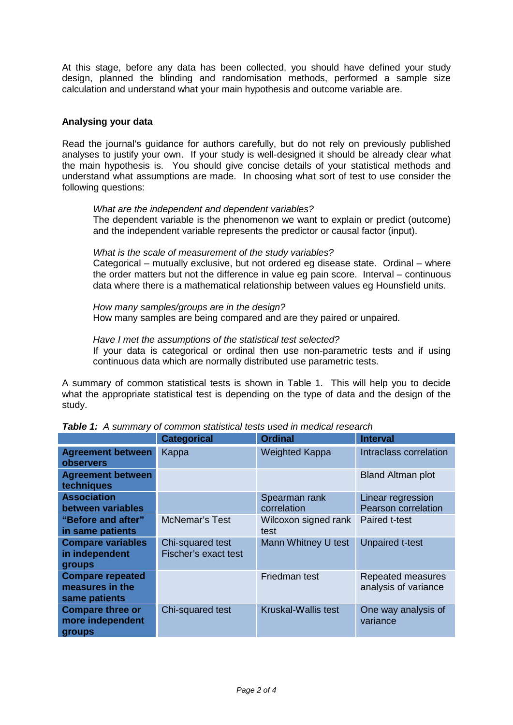At this stage, before any data has been collected, you should have defined your study design, planned the blinding and randomisation methods, performed a sample size calculation and understand what your main hypothesis and outcome variable are.

# **Analysing your data**

Read the journal's guidance for authors carefully, but do not rely on previously published analyses to justify your own. If your study is well-designed it should be already clear what the main hypothesis is. You should give concise details of your statistical methods and understand what assumptions are made. In choosing what sort of test to use consider the following questions:

### *What are the independent and dependent variables?*

The dependent variable is the phenomenon we want to explain or predict (outcome) and the independent variable represents the predictor or causal factor (input).

#### *What is the scale of measurement of the study variables?*

Categorical – mutually exclusive, but not ordered eg disease state. Ordinal – where the order matters but not the difference in value eg pain score. Interval – continuous data where there is a mathematical relationship between values eg Hounsfield units.

*How many samples/groups are in the design?* How many samples are being compared and are they paired or unpaired.

#### *Have I met the assumptions of the statistical test selected?*

If your data is categorical or ordinal then use non-parametric tests and if using continuous data which are normally distributed use parametric tests.

A summary of common statistical tests is shown in Table 1. This will help you to decide what the appropriate statistical test is depending on the type of data and the design of the study.

|                                                             | <b>Categorical</b>                       | <b>Ordinal</b>               | <b>Interval</b>                           |
|-------------------------------------------------------------|------------------------------------------|------------------------------|-------------------------------------------|
| <b>Agreement between</b><br><b>observers</b>                | Kappa                                    | <b>Weighted Kappa</b>        | Intraclass correlation                    |
| <b>Agreement between</b><br>techniques                      |                                          |                              | <b>Bland Altman plot</b>                  |
| <b>Association</b><br>between variables                     |                                          | Spearman rank<br>correlation | Linear regression<br>Pearson correlation  |
| "Before and after"<br>in same patients                      | <b>McNemar's Test</b>                    | Wilcoxon signed rank<br>test | Paired t-test                             |
| <b>Compare variables</b><br>in independent<br><b>groups</b> | Chi-squared test<br>Fischer's exact test | Mann Whitney U test          | <b>Unpaired t-test</b>                    |
| <b>Compare repeated</b><br>measures in the<br>same patients |                                          | Friedman test                | Repeated measures<br>analysis of variance |
| <b>Compare three or</b><br>more independent<br>groups       | Chi-squared test                         | <b>Kruskal-Wallis test</b>   | One way analysis of<br>variance           |

*Table 1: A summary of common statistical tests used in medical research*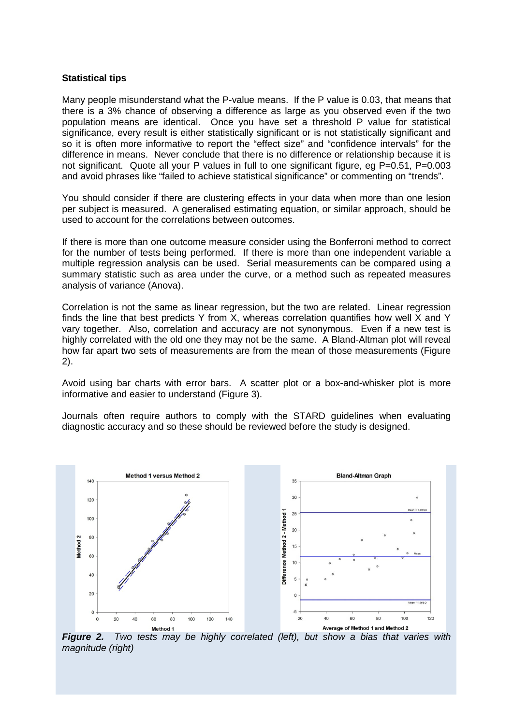### **Statistical tips**

Many people misunderstand what the P-value means. If the P value is 0.03, that means that there is a 3% chance of observing a difference as large as you observed even if the two population means are identical. Once you have set a threshold P value for statistical significance, every result is either statistically significant or is not statistically significant and so it is often more informative to report the "effect size" and "confidence intervals" for the difference in means. Never conclude that there is no difference or relationship because it is not significant. Quote all your P values in full to one significant figure, eg P=0.51, P=0.003 and avoid phrases like "failed to achieve statistical significance" or commenting on "trends".

You should consider if there are clustering effects in your data when more than one lesion per subject is measured. A generalised estimating equation, or similar approach, should be used to account for the correlations between outcomes.

If there is more than one outcome measure consider using the Bonferroni method to correct for the number of tests being performed. If there is more than one independent variable a multiple regression analysis can be used. Serial measurements can be compared using a summary statistic such as area under the curve, or a method such as repeated measures analysis of variance (Anova).

Correlation is not the same as linear regression, but the two are related. Linear regression finds the line that best predicts Y from X, whereas correlation quantifies how well X and Y vary together. Also, correlation and accuracy are not synonymous. Even if a new test is highly correlated with the old one they may not be the same. A Bland-Altman plot will reveal how far apart two sets of measurements are from the mean of those measurements (Figure 2).

Avoid using bar charts with error bars. A scatter plot or a box-and-whisker plot is more informative and easier to understand (Figure 3).

Journals often require authors to comply with the STARD guidelines when evaluating diagnostic accuracy and so these should be reviewed before the study is designed.



*Figure 2. Two tests may be highly correlated (left), but show a bias that varies with* **<b>***Figure 2. Two tests may be highly correlated (left), but show a bias that varies with magnitude (right)*